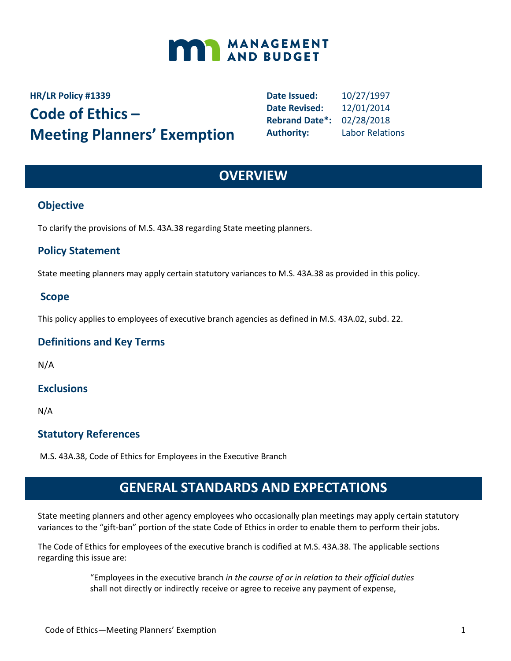

# **HR/LR Policy #1339 Code of Ethics – Meeting Planners' Exemption**

**Date Issued:** 10/27/1997 **Date Revised:** 12/01/2014 **Rebrand Date\*:** 02/28/2018 **Authority:** Labor Relations

## **OVERVIEW**

### **Objective**

To clarify the provisions of M.S. 43A.38 regarding State meeting planners.

### **Policy Statement**

State meeting planners may apply certain statutory variances to M.S. 43A.38 as provided in this policy.

### **Scope**

This policy applies to employees of executive branch agencies as defined in M.S. 43A.02, subd. 22.

### **Definitions and Key Terms**

N/A

### **Exclusions**

N/A

### **Statutory References**

M.S. 43A.38, Code of Ethics for Employees in the Executive Branch

## **GENERAL STANDARDS AND EXPECTATIONS**

State meeting planners and other agency employees who occasionally plan meetings may apply certain statutory variances to the "gift-ban" portion of the state Code of Ethics in order to enable them to perform their jobs.

The Code of Ethics for employees of the executive branch is codified at M.S. 43A.38. The applicable sections regarding this issue are:

> "Employees in the executive branch *in the course of or in relation to their official duties* shall not directly or indirectly receive or agree to receive any payment of expense,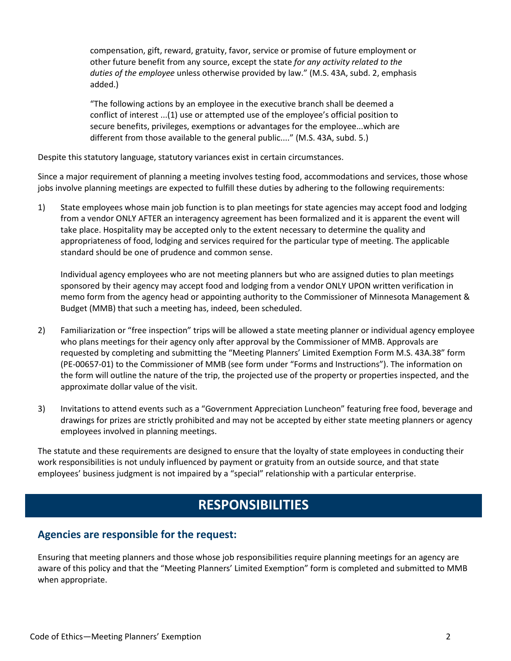compensation, gift, reward, gratuity, favor, service or promise of future employment or other future benefit from any source, except the state *for any activity related to the duties of the employee* unless otherwise provided by law." (M.S. 43A, subd. 2, emphasis added.)

"The following actions by an employee in the executive branch shall be deemed a conflict of interest ...(1) use or attempted use of the employee's official position to secure benefits, privileges, exemptions or advantages for the employee...which are different from those available to the general public...." (M.S. 43A, subd. 5.)

Despite this statutory language, statutory variances exist in certain circumstances.

Since a major requirement of planning a meeting involves testing food, accommodations and services, those whose jobs involve planning meetings are expected to fulfill these duties by adhering to the following requirements:

1) State employees whose main job function is to plan meetings for state agencies may accept food and lodging from a vendor ONLY AFTER an interagency agreement has been formalized and it is apparent the event will take place. Hospitality may be accepted only to the extent necessary to determine the quality and appropriateness of food, lodging and services required for the particular type of meeting. The applicable standard should be one of prudence and common sense.

Individual agency employees who are not meeting planners but who are assigned duties to plan meetings sponsored by their agency may accept food and lodging from a vendor ONLY UPON written verification in memo form from the agency head or appointing authority to the Commissioner of Minnesota Management & Budget (MMB) that such a meeting has, indeed, been scheduled.

- 2) Familiarization or "free inspection" trips will be allowed a state meeting planner or individual agency employee who plans meetings for their agency only after approval by the Commissioner of MMB. Approvals are requested by completing and submitting the "Meeting Planners' Limited Exemption Form M.S. 43A.38" form (PE-00657-01) to the Commissioner of MMB (see form under "Forms and Instructions"). The information on the form will outline the nature of the trip, the projected use of the property or properties inspected, and the approximate dollar value of the visit.
- 3) Invitations to attend events such as a "Government Appreciation Luncheon" featuring free food, beverage and drawings for prizes are strictly prohibited and may not be accepted by either state meeting planners or agency employees involved in planning meetings.

The statute and these requirements are designed to ensure that the loyalty of state employees in conducting their work responsibilities is not unduly influenced by payment or gratuity from an outside source, and that state employees' business judgment is not impaired by a "special" relationship with a particular enterprise.

### **RESPONSIBILITIES**

### **Agencies are responsible for the request:**

Ensuring that meeting planners and those whose job responsibilities require planning meetings for an agency are aware of this policy and that the "Meeting Planners' Limited Exemption" form is completed and submitted to MMB when appropriate.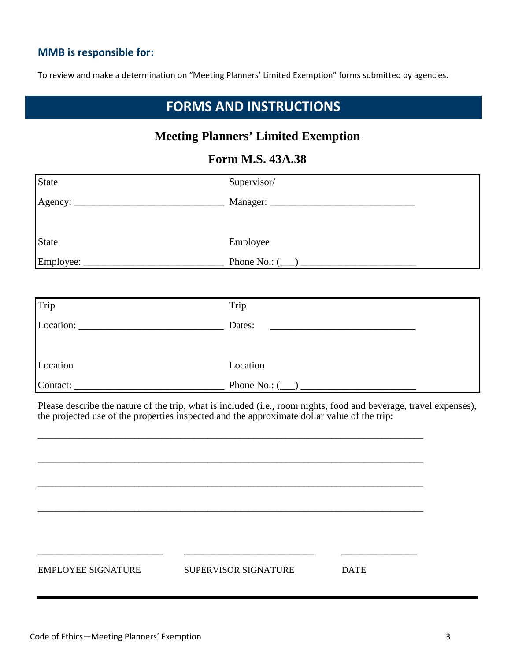### **MMB is responsible for:**

To review and make a determination on "Meeting Planners' Limited Exemption" forms submitted by agencies.

## **FORMS AND INSTRUCTIONS**

### **Meeting Planners' Limited Exemption**

### **Form M.S. 43A.38**

| <b>State</b> | Supervisor/                     |
|--------------|---------------------------------|
|              | Manager: ______________________ |
|              |                                 |
| <b>State</b> | Employee                        |
| Employee:    | Phone No.: $(\_\_)$             |

| Trip                                                         | Trip                |
|--------------------------------------------------------------|---------------------|
| Location:<br>the contract of the contract of the contract of | Dates:              |
|                                                              |                     |
| Location                                                     | Location            |
| Contact:                                                     | Phone No.: $(\_\_)$ |

Please describe the nature of the trip, what is included (i.e., room nights, food and beverage, travel expenses), the projected use of the properties inspected and the approximate dollar value of the trip:

\_\_\_\_\_\_\_\_\_\_\_\_\_\_\_\_\_\_\_\_\_\_\_\_\_\_\_\_\_\_\_\_\_\_\_\_\_\_\_\_\_\_\_\_\_\_\_\_\_\_\_\_\_\_\_\_\_\_\_\_\_\_\_\_\_\_\_\_\_\_\_\_\_\_\_\_\_\_\_\_\_\_\_\_

\_\_\_\_\_\_\_\_\_\_\_\_\_\_\_\_\_\_\_\_\_\_\_\_\_\_\_\_\_\_\_\_\_\_\_\_\_\_\_\_\_\_\_\_\_\_\_\_\_\_\_\_\_\_\_\_\_\_\_\_\_\_\_\_\_\_\_\_\_\_\_\_\_\_\_\_\_\_\_\_\_\_\_\_

\_\_\_\_\_\_\_\_\_\_\_\_\_\_\_\_\_\_\_\_\_\_\_\_\_\_\_\_\_\_\_\_\_\_\_\_\_\_\_\_\_\_\_\_\_\_\_\_\_\_\_\_\_\_\_\_\_\_\_\_\_\_\_\_\_\_\_\_\_\_\_\_\_\_\_\_\_\_\_\_\_\_\_\_

\_\_\_\_\_\_\_\_\_\_\_\_\_\_\_\_\_\_\_\_\_\_\_\_\_\_\_\_\_\_\_\_\_\_\_\_\_\_\_\_\_\_\_\_\_\_\_\_\_\_\_\_\_\_\_\_\_\_\_\_\_\_\_\_\_\_\_\_\_\_\_\_\_\_\_\_\_\_\_\_\_\_\_\_

\_\_\_\_\_\_\_\_\_\_\_\_\_\_\_\_\_\_\_\_\_\_\_\_\_ \_\_\_\_\_\_\_\_\_\_\_\_\_\_\_\_\_\_\_\_\_\_\_\_\_\_ \_\_\_\_\_\_\_\_\_\_\_\_\_\_\_ EMPLOYEE SIGNATURE SUPERVISOR SIGNATURE DATE